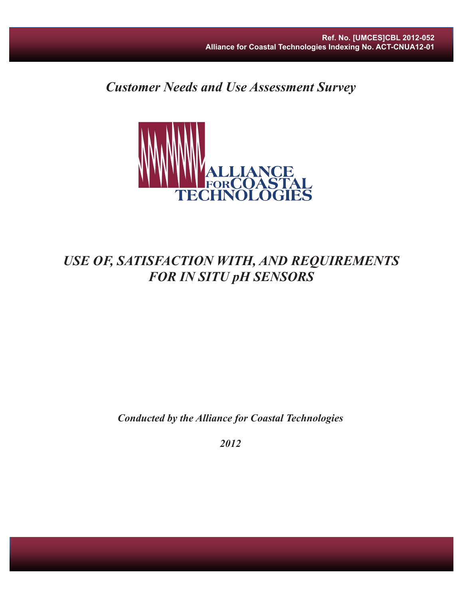*Customer Needs and Use Assessment Survey*



# *USE OF, SATISFACTION WITH, AND REQUIREMENTS FOR IN SITU pH SENSORS*

*Conducted by the Alliance for Coastal Technologies*

*2012*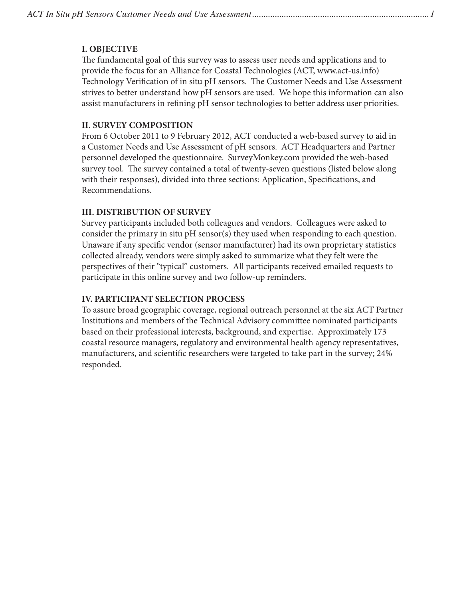## **I. OBJECTIVE**

The fundamental goal of this survey was to assess user needs and applications and to provide the focus for an Alliance for Coastal Technologies (ACT, www.act-us.info) Technology Verification of in situ pH sensors. The Customer Needs and Use Assessment strives to better understand how pH sensors are used. We hope this information can also assist manufacturers in refining pH sensor technologies to better address user priorities.

#### **II. SURVEY COMPOSITION**

From 6 October 2011 to 9 February 2012, ACT conducted a web-based survey to aid in a Customer Needs and Use Assessment of pH sensors. ACT Headquarters and Partner personnel developed the questionnaire. SurveyMonkey.com provided the web-based survey tool. The survey contained a total of twenty-seven questions (listed below along with their responses), divided into three sections: Application, Specifications, and Recommendations.

### **III. DISTRIBUTION OF SURVEY**

Survey participants included both colleagues and vendors. Colleagues were asked to consider the primary in situ pH sensor(s) they used when responding to each question. Unaware if any specific vendor (sensor manufacturer) had its own proprietary statistics collected already, vendors were simply asked to summarize what they felt were the perspectives of their "typical" customers. All participants received emailed requests to participate in this online survey and two follow-up reminders.

## **IV. PARTICIPANT SELECTION PROCESS**

To assure broad geographic coverage, regional outreach personnel at the six ACT Partner Institutions and members of the Technical Advisory committee nominated participants based on their professional interests, background, and expertise. Approximately 173 coastal resource managers, regulatory and environmental health agency representatives, manufacturers, and scientific researchers were targeted to take part in the survey; 24% responded.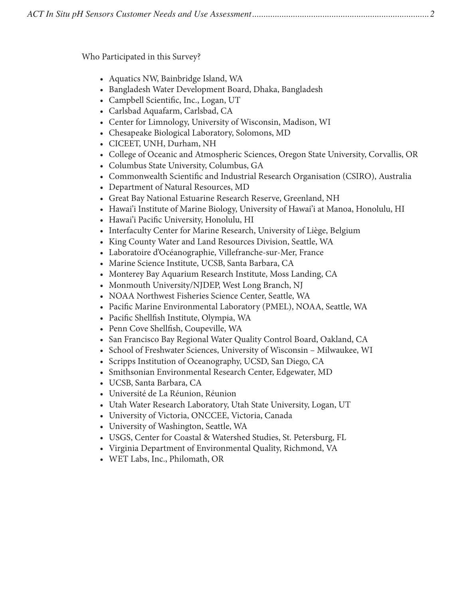|--|--|

Who Participated in this Survey?

- Aquatics NW, Bainbridge Island, WA
- Bangladesh Water Development Board, Dhaka, Bangladesh
- Campbell Scientific, Inc., Logan, UT
- Carlsbad Aquafarm, Carlsbad, CA
- Center for Limnology, University of Wisconsin, Madison, WI
- Chesapeake Biological Laboratory, Solomons, MD
- CICEET, UNH, Durham, NH
- College of Oceanic and Atmospheric Sciences, Oregon State University, Corvallis, OR
- Columbus State University, Columbus, GA
- Commonwealth Scientific and Industrial Research Organisation (CSIRO), Australia
- Department of Natural Resources, MD
- Great Bay National Estuarine Research Reserve, Greenland, NH
- Hawai'i Institute of Marine Biology, University of Hawai'i at Manoa, Honolulu, HI
- Hawai'i Pacific University, Honolulu, HI
- Interfaculty Center for Marine Research, University of Liège, Belgium
- King County Water and Land Resources Division, Seattle, WA
- Laboratoire d'Océanographie, Villefranche-sur-Mer, France
- Marine Science Institute, UCSB, Santa Barbara, CA
- Monterey Bay Aquarium Research Institute, Moss Landing, CA
- Monmouth University/NJDEP, West Long Branch, NJ
- NOAA Northwest Fisheries Science Center, Seattle, WA
- Pacific Marine Environmental Laboratory (PMEL), NOAA, Seattle, WA
- Pacific Shellfish Institute, Olympia, WA
- Penn Cove Shellfish, Coupeville, WA
- San Francisco Bay Regional Water Quality Control Board, Oakland, CA
- School of Freshwater Sciences, University of Wisconsin Milwaukee, WI
- Scripps Institution of Oceanography, UCSD, San Diego, CA
- Smithsonian Environmental Research Center, Edgewater, MD
- UCSB, Santa Barbara, CA
- Université de La Réunion, Réunion
- Utah Water Research Laboratory, Utah State University, Logan, UT
- University of Victoria, ONCCEE, Victoria, Canada
- University of Washington, Seattle, WA
- USGS, Center for Coastal & Watershed Studies, St. Petersburg, FL
- Virginia Department of Environmental Quality, Richmond, VA
- WET Labs, Inc., Philomath, OR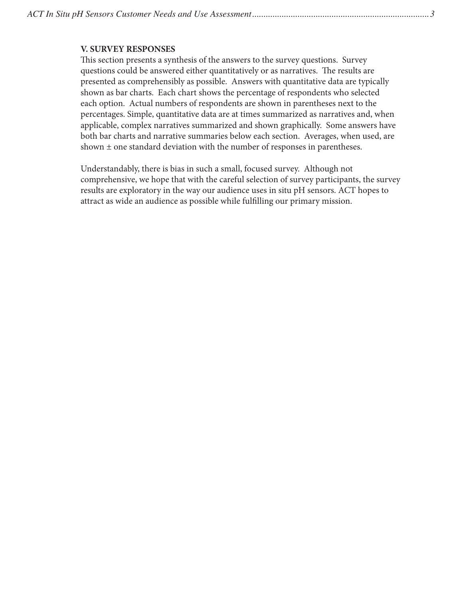#### **V. SURVEY RESPONSES**

This section presents a synthesis of the answers to the survey questions. Survey questions could be answered either quantitatively or as narratives. The results are presented as comprehensibly as possible. Answers with quantitative data are typically shown as bar charts. Each chart shows the percentage of respondents who selected each option. Actual numbers of respondents are shown in parentheses next to the percentages. Simple, quantitative data are at times summarized as narratives and, when applicable, complex narratives summarized and shown graphically. Some answers have both bar charts and narrative summaries below each section. Averages, when used, are shown ± one standard deviation with the number of responses in parentheses.

Understandably, there is bias in such a small, focused survey. Although not comprehensive, we hope that with the careful selection of survey participants, the survey results are exploratory in the way our audience uses in situ pH sensors. ACT hopes to attract as wide an audience as possible while fulfilling our primary mission.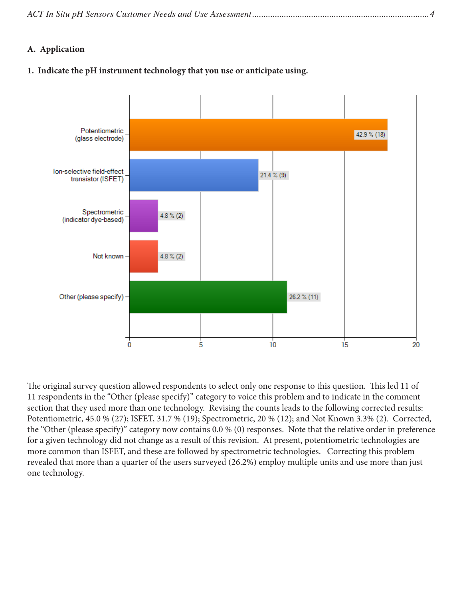|--|--|--|

#### **A. Application**

#### **1. Indicate the pH instrument technology that you use or anticipate using.**



The original survey question allowed respondents to select only one response to this question. This led 11 of 11 respondents in the "Other (please specify)" category to voice this problem and to indicate in the comment section that they used more than one technology. Revising the counts leads to the following corrected results: Potentiometric, 45.0 % (27); ISFET, 31.7 % (19); Spectrometric, 20 % (12); and Not Known 3.3% (2). Corrected, the "Other (please specify)" category now contains 0.0 % (0) responses. Note that the relative order in preference for a given technology did not change as a result of this revision. At present, potentiometric technologies are more common than ISFET, and these are followed by spectrometric technologies. Correcting this problem revealed that more than a quarter of the users surveyed (26.2%) employ multiple units and use more than just one technology.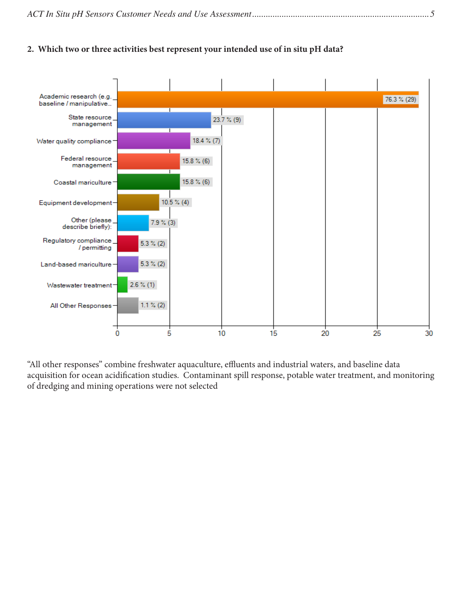|--|

#### **2. Which two or three activities best represent your intended use of in situ pH data?**



"All other responses" combine freshwater aquaculture, effluents and industrial waters, and baseline data acquisition for ocean acidification studies. Contaminant spill response, potable water treatment, and monitoring of dredging and mining operations were not selected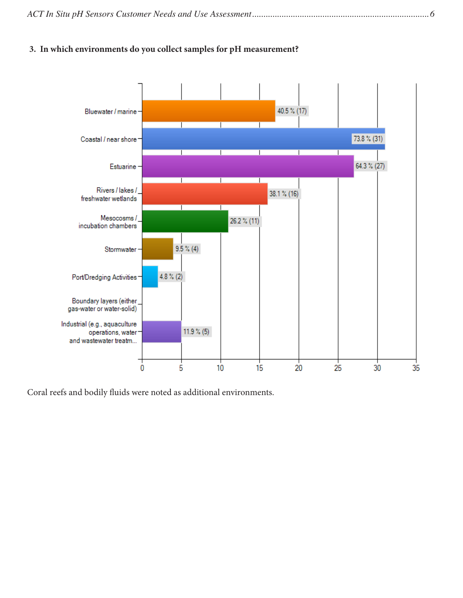|--|--|--|

## **3. In which environments do you collect samples for pH measurement?**



Coral reefs and bodily fluids were noted as additional environments.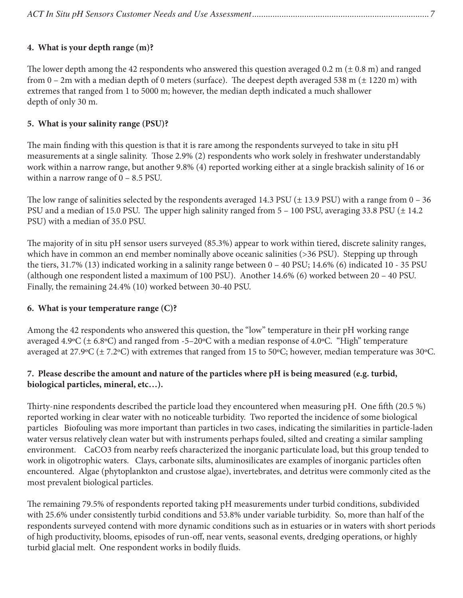# **4. What is your depth range (m)?**

The lower depth among the 42 respondents who answered this question averaged 0.2 m ( $\pm$  0.8 m) and ranged from  $0 - 2m$  with a median depth of 0 meters (surface). The deepest depth averaged 538 m ( $\pm$  1220 m) with extremes that ranged from 1 to 5000 m; however, the median depth indicated a much shallower depth of only 30 m.

## **5. What is your salinity range (PSU)?**

The main finding with this question is that it is rare among the respondents surveyed to take in situ pH measurements at a single salinity. Those 2.9% (2) respondents who work solely in freshwater understandably work within a narrow range, but another 9.8% (4) reported working either at a single brackish salinity of 16 or within a narrow range of  $0 - 8.5$  PSU.

The low range of salinities selected by the respondents averaged 14.3 PSU  $(\pm 13.9 \text{ PSU})$  with a range from  $0 - 36$ PSU and a median of 15.0 PSU. The upper high salinity ranged from  $5 - 100$  PSU, averaging 33.8 PSU ( $\pm$  14.2) PSU) with a median of 35.0 PSU.

The majority of in situ pH sensor users surveyed (85.3%) appear to work within tiered, discrete salinity ranges, which have in common an end member nominally above oceanic salinities (>36 PSU). Stepping up through the tiers, 31.7% (13) indicated working in a salinity range between 0 – 40 PSU; 14.6% (6) indicated 10 - 35 PSU (although one respondent listed a maximum of 100 PSU). Another 14.6% (6) worked between 20 – 40 PSU. Finally, the remaining 24.4% (10) worked between 30-40 PSU.

### **6. What is your temperature range (C)?**

Among the 42 respondents who answered this question, the "low" temperature in their pH working range averaged 4.9ºC (± 6.8ºC) and ranged from -5–20ºC with a median response of 4.0ºC. "High" temperature averaged at 27.9ºC (± 7.2ºC) with extremes that ranged from 15 to 50ºC; however, median temperature was 30ºC.

# **7. Please describe the amount and nature of the particles where pH is being measured (e.g. turbid, biological particles, mineral, etc…).**

Thirty-nine respondents described the particle load they encountered when measuring pH. One fifth (20.5 %) reported working in clear water with no noticeable turbidity. Two reported the incidence of some biological particles Biofouling was more important than particles in two cases, indicating the similarities in particle-laden water versus relatively clean water but with instruments perhaps fouled, silted and creating a similar sampling environment. CaCO3 from nearby reefs characterized the inorganic particulate load, but this group tended to work in oligotrophic waters. Clays, carbonate silts, aluminosilicates are examples of inorganic particles often encountered. Algae (phytoplankton and crustose algae), invertebrates, and detritus were commonly cited as the most prevalent biological particles.

The remaining 79.5% of respondents reported taking pH measurements under turbid conditions, subdivided with 25.6% under consistently turbid conditions and 53.8% under variable turbidity. So, more than half of the respondents surveyed contend with more dynamic conditions such as in estuaries or in waters with short periods of high productivity, blooms, episodes of run-off, near vents, seasonal events, dredging operations, or highly turbid glacial melt. One respondent works in bodily fluids.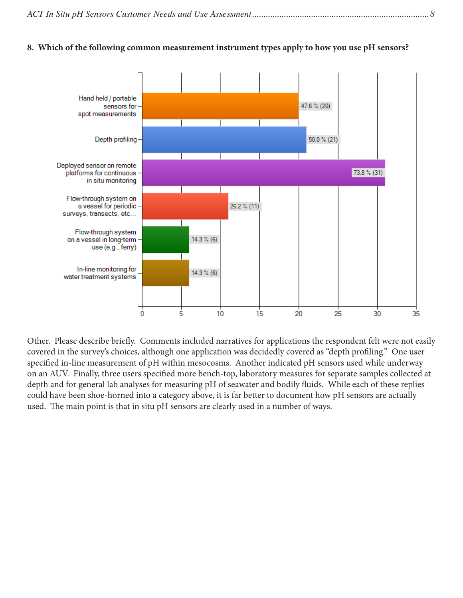#### **8. Which of the following common measurement instrument types apply to how you use pH sensors?**



Other. Please describe briefly. Comments included narratives for applications the respondent felt were not easily covered in the survey's choices, although one application was decidedly covered as "depth profiling." One user specified in-line measurement of pH within mesocosms. Another indicated pH sensors used while underway on an AUV. Finally, three users specified more bench-top, laboratory measures for separate samples collected at depth and for general lab analyses for measuring pH of seawater and bodily fluids. While each of these replies could have been shoe-horned into a category above, it is far better to document how pH sensors are actually used. The main point is that in situ pH sensors are clearly used in a number of ways.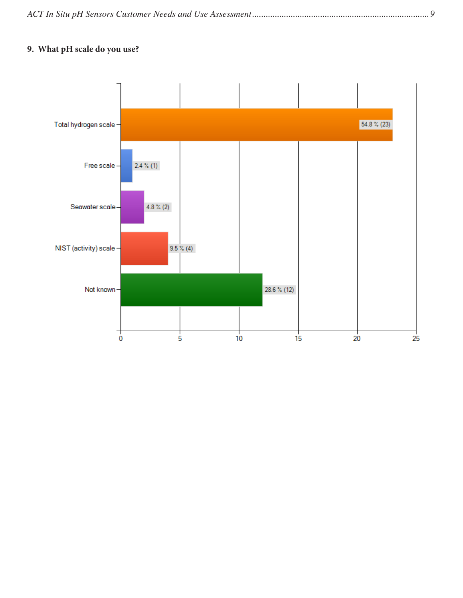|--|--|

# **9. What pH scale do you use?**

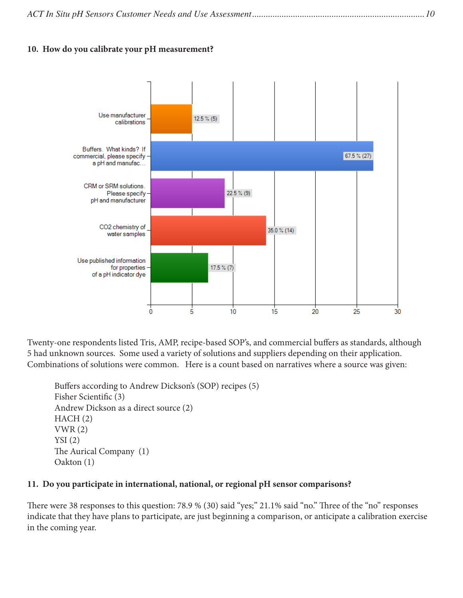|--|--|--|--|

#### **10. How do you calibrate your pH measurement?**



Twenty-one respondents listed Tris, AMP, recipe-based SOP's, and commercial buffers as standards, although 5 had unknown sources. Some used a variety of solutions and suppliers depending on their application. Combinations of solutions were common. Here is a count based on narratives where a source was given:

```
Buffers according to Andrew Dickson's (SOP) recipes (5)
Fisher Scientific (3)
Andrew Dickson as a direct source (2)
HACH (2)
VWR (2)
YSI(2)The Aurical Company (1)
Oakton (1)
```
#### **11. Do you participate in international, national, or regional pH sensor comparisons?**

There were 38 responses to this question: 78.9 % (30) said "yes;" 21.1% said "no." Three of the "no" responses indicate that they have plans to participate, are just beginning a comparison, or anticipate a calibration exercise in the coming year.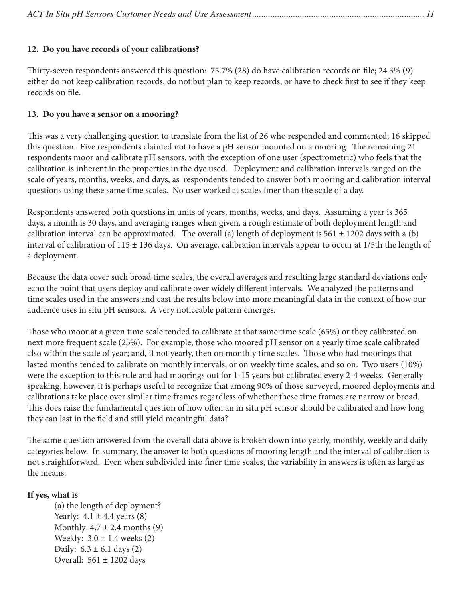# **12. Do you have records of your calibrations?**

Thirty-seven respondents answered this question: 75.7% (28) do have calibration records on file; 24.3% (9) either do not keep calibration records, do not but plan to keep records, or have to check first to see if they keep records on file.

## **13. Do you have a sensor on a mooring?**

This was a very challenging question to translate from the list of 26 who responded and commented; 16 skipped this question. Five respondents claimed not to have a pH sensor mounted on a mooring. The remaining 21 respondents moor and calibrate pH sensors, with the exception of one user (spectrometric) who feels that the calibration is inherent in the properties in the dye used. Deployment and calibration intervals ranged on the scale of years, months, weeks, and days, as respondents tended to answer both mooring and calibration interval questions using these same time scales. No user worked at scales finer than the scale of a day.

Respondents answered both questions in units of years, months, weeks, and days. Assuming a year is 365 days, a month is 30 days, and averaging ranges when given, a rough estimate of both deployment length and calibration interval can be approximated. The overall (a) length of deployment is  $561 \pm 1202$  days with a (b) interval of calibration of  $115 \pm 136$  days. On average, calibration intervals appear to occur at  $1/5$ th the length of a deployment.

Because the data cover such broad time scales, the overall averages and resulting large standard deviations only echo the point that users deploy and calibrate over widely different intervals. We analyzed the patterns and time scales used in the answers and cast the results below into more meaningful data in the context of how our audience uses in situ pH sensors. A very noticeable pattern emerges.

Those who moor at a given time scale tended to calibrate at that same time scale (65%) or they calibrated on next more frequent scale (25%). For example, those who moored pH sensor on a yearly time scale calibrated also within the scale of year; and, if not yearly, then on monthly time scales. Those who had moorings that lasted months tended to calibrate on monthly intervals, or on weekly time scales, and so on. Two users (10%) were the exception to this rule and had moorings out for 1-15 years but calibrated every 2-4 weeks. Generally speaking, however, it is perhaps useful to recognize that among 90% of those surveyed, moored deployments and calibrations take place over similar time frames regardless of whether these time frames are narrow or broad. This does raise the fundamental question of how often an in situ pH sensor should be calibrated and how long they can last in the field and still yield meaningful data?

The same question answered from the overall data above is broken down into yearly, monthly, weekly and daily categories below. In summary, the answer to both questions of mooring length and the interval of calibration is not straightforward. Even when subdivided into finer time scales, the variability in answers is often as large as the means.

### **If yes, what is**

(a) the length of deployment? Yearly:  $4.1 \pm 4.4$  years (8) Monthly:  $4.7 \pm 2.4$  months (9) Weekly:  $3.0 \pm 1.4$  weeks (2) Daily:  $6.3 \pm 6.1$  days (2) Overall:  $561 \pm 1202$  days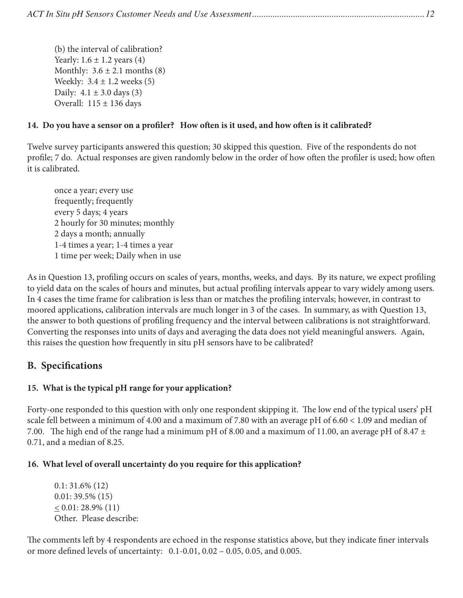(b) the interval of calibration? Yearly:  $1.6 \pm 1.2$  years (4) Monthly:  $3.6 \pm 2.1$  months (8) Weekly:  $3.4 \pm 1.2$  weeks (5) Daily:  $4.1 \pm 3.0$  days (3) Overall:  $115 \pm 136$  days

# **14. Do you have a sensor on a profiler? How often is it used, and how often is it calibrated?**

Twelve survey participants answered this question; 30 skipped this question. Five of the respondents do not profile; 7 do. Actual responses are given randomly below in the order of how often the profiler is used; how often it is calibrated.

once a year; every use frequently; frequently every 5 days; 4 years 2 hourly for 30 minutes; monthly 2 days a month; annually 1-4 times a year; 1-4 times a year 1 time per week; Daily when in use

As in Question 13, profiling occurs on scales of years, months, weeks, and days. By its nature, we expect profiling to yield data on the scales of hours and minutes, but actual profiling intervals appear to vary widely among users. In 4 cases the time frame for calibration is less than or matches the profiling intervals; however, in contrast to moored applications, calibration intervals are much longer in 3 of the cases. In summary, as with Question 13, the answer to both questions of profiling frequency and the interval between calibrations is not straightforward. Converting the responses into units of days and averaging the data does not yield meaningful answers. Again, this raises the question how frequently in situ pH sensors have to be calibrated?

# **B. Specifications**

# **15. What is the typical pH range for your application?**

Forty-one responded to this question with only one respondent skipping it. The low end of the typical users' pH scale fell between a minimum of 4.00 and a maximum of 7.80 with an average pH of 6.60 < 1.09 and median of 7.00. The high end of the range had a minimum pH of 8.00 and a maximum of 11.00, an average pH of 8.47  $\pm$ 0.71, and a median of 8.25.

### **16. What level of overall uncertainty do you require for this application?**

0.1: 31.6% (12) 0.01: 39.5% (15)  $\leq 0.01$ : 28.9% (11) Other. Please describe:

The comments left by 4 respondents are echoed in the response statistics above, but they indicate finer intervals or more defined levels of uncertainty: 0.1-0.01, 0.02 – 0.05, 0.05, and 0.005.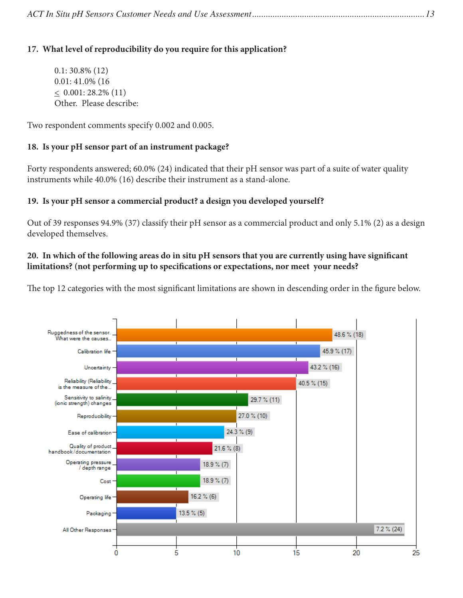# **17. What level of reproducibility do you require for this application?**

0.1: 30.8% (12) 0.01: 41.0% (16  $\leq 0.001: 28.2\% (11)$ Other. Please describe:

Two respondent comments specify 0.002 and 0.005.

# **18. Is your pH sensor part of an instrument package?**

Forty respondents answered; 60.0% (24) indicated that their pH sensor was part of a suite of water quality instruments while 40.0% (16) describe their instrument as a stand-alone.

# **19. Is your pH sensor a commercial product? a design you developed yourself?**

Out of 39 responses 94.9% (37) classify their pH sensor as a commercial product and only 5.1% (2) as a design developed themselves.

# **20. In which of the following areas do in situ pH sensors that you are currently using have significant limitations? (not performing up to specifications or expectations, nor meet your needs?**

The top 12 categories with the most significant limitations are shown in descending order in the figure below.

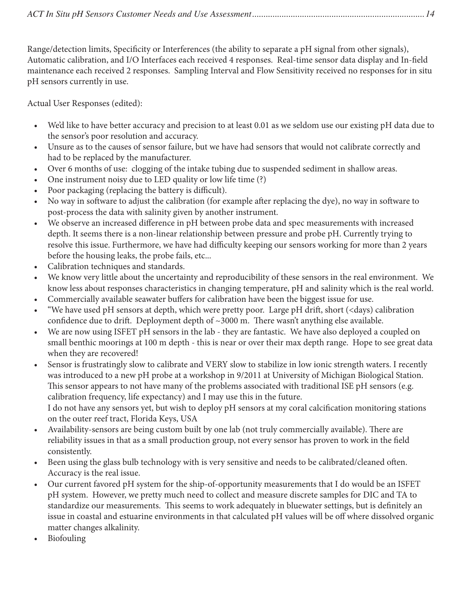Range/detection limits, Specificity or Interferences (the ability to separate a pH signal from other signals), Automatic calibration, and I/O Interfaces each received 4 responses. Real-time sensor data display and In-field maintenance each received 2 responses. Sampling Interval and Flow Sensitivity received no responses for in situ pH sensors currently in use.

Actual User Responses (edited):

- We'd like to have better accuracy and precision to at least 0.01 as we seldom use our existing pH data due to the sensor's poor resolution and accuracy.
- Unsure as to the causes of sensor failure, but we have had sensors that would not calibrate correctly and had to be replaced by the manufacturer.
- Over 6 months of use: clogging of the intake tubing due to suspended sediment in shallow areas.
- One instrument noisy due to LED quality or low life time (?)
- Poor packaging (replacing the battery is difficult).
- No way in software to adjust the calibration (for example after replacing the dye), no way in software to post-process the data with salinity given by another instrument.
- We observe an increased difference in pH between probe data and spec measurements with increased depth. It seems there is a non-linear relationship between pressure and probe pH. Currently trying to resolve this issue. Furthermore, we have had difficulty keeping our sensors working for more than 2 years before the housing leaks, the probe fails, etc...
- Calibration techniques and standards.
- We know very little about the uncertainty and reproducibility of these sensors in the real environment. We know less about responses characteristics in changing temperature, pH and salinity which is the real world.
- Commercially available seawater buffers for calibration have been the biggest issue for use.
- "We have used pH sensors at depth, which were pretty poor. Large pH drift, short (<days) calibration confidence due to drift. Deployment depth of  $\sim$ 3000 m. There wasn't anything else available.
- We are now using ISFET pH sensors in the lab they are fantastic. We have also deployed a coupled on small benthic moorings at 100 m depth - this is near or over their max depth range. Hope to see great data when they are recovered!
- Sensor is frustratingly slow to calibrate and VERY slow to stabilize in low ionic strength waters. I recently was introduced to a new pH probe at a workshop in 9/2011 at University of Michigan Biological Station. This sensor appears to not have many of the problems associated with traditional ISE pH sensors (e.g. calibration frequency, life expectancy) and I may use this in the future. I do not have any sensors yet, but wish to deploy pH sensors at my coral calcification monitoring stations on the outer reef tract, Florida Keys, USA
- Availability-sensors are being custom built by one lab (not truly commercially available). There are reliability issues in that as a small production group, not every sensor has proven to work in the field consistently.
- Been using the glass bulb technology with is very sensitive and needs to be calibrated/cleaned often. Accuracy is the real issue.
- Our current favored pH system for the ship-of-opportunity measurements that I do would be an ISFET pH system. However, we pretty much need to collect and measure discrete samples for DIC and TA to standardize our measurements. This seems to work adequately in bluewater settings, but is definitely an issue in coastal and estuarine environments in that calculated pH values will be off where dissolved organic matter changes alkalinity.
- Biofouling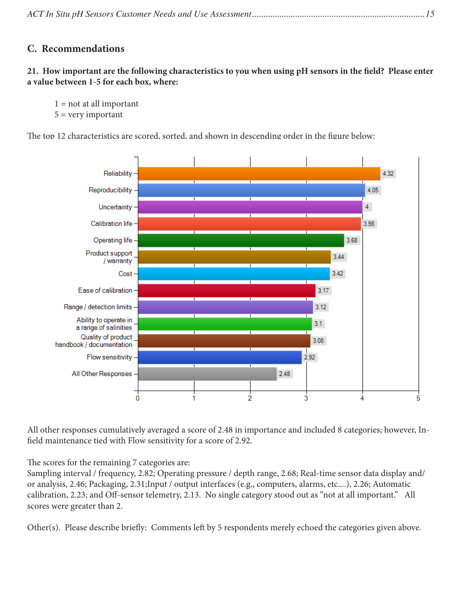# **C. Recommendations**

**21. How important are the following characteristics to you when using pH sensors in the field? Please enter a value between 1-5 for each box, where:**

 $1 = not at all important$  $5 = \text{very important}$ 

The top 12 characteristics are scored, sorted, and shown in descending order in the figure below:



All other responses cumulatively averaged a score of 2.48 in importance and included 8 categories; however, Infield maintenance tied with Flow sensitivity for a score of 2.92.

The scores for the remaining 7 categories are:

Sampling interval / frequency, 2.82; Operating pressure / depth range, 2.68; Real-time sensor data display and/ or analysis, 2.46; Packaging, 2.31;Input / output interfaces (e.g., computers, alarms, etc....), 2.26; Automatic calibration, 2.23; and Off-sensor telemetry, 2.13. No single category stood out as "not at all important." All scores were greater than 2.

Other(s). Please describe briefly: Comments left by 5 respondents merely echoed the categories given above.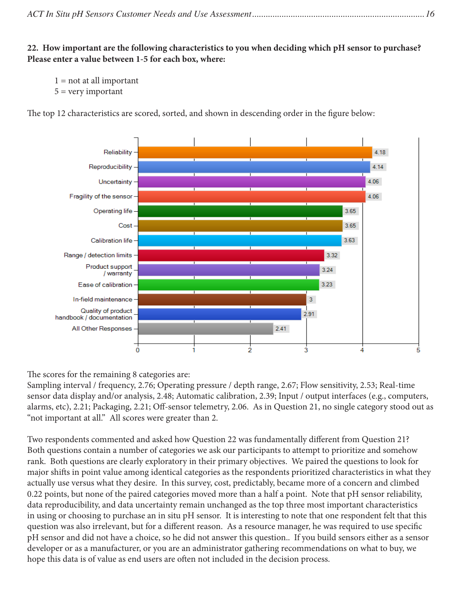|--|--|

**22. How important are the following characteristics to you when deciding which pH sensor to purchase? Please enter a value between 1-5 for each box, where:**

```
1 = not at all important
```
 $5 = \text{very important}$ 

Reliability 4.18 Reproducibility 4.14 Uncertainty 4.06 4.06 Fragility of the sensor 3.65 Operating life Cost 3.65 3.63 Calibration life Range / detection limits 3.32 Product support  $3.24$ / warranty  $3.23$ Ease of calibration  $\overline{3}$ In-field maintenance Quality of product  $2.91$ handbook / documentation All Other Responses  $2.41$  $\dot{0}$  $\overline{\mathbf{3}}$ 2 4 5

The top 12 characteristics are scored, sorted, and shown in descending order in the figure below:

The scores for the remaining 8 categories are:

Sampling interval / frequency, 2.76; Operating pressure / depth range, 2.67; Flow sensitivity, 2.53; Real-time sensor data display and/or analysis, 2.48; Automatic calibration, 2.39; Input / output interfaces (e.g., computers, alarms, etc), 2.21; Packaging, 2.21; Off-sensor telemetry, 2.06. As in Question 21, no single category stood out as "not important at all." All scores were greater than 2.

Two respondents commented and asked how Question 22 was fundamentally different from Question 21? Both questions contain a number of categories we ask our participants to attempt to prioritize and somehow rank. Both questions are clearly exploratory in their primary objectives. We paired the questions to look for major shifts in point value among identical categories as the respondents prioritized characteristics in what they actually use versus what they desire. In this survey, cost, predictably, became more of a concern and climbed 0.22 points, but none of the paired categories moved more than a half a point. Note that pH sensor reliability, data reproducibility, and data uncertainty remain unchanged as the top three most important characteristics in using or choosing to purchase an in situ pH sensor. It is interesting to note that one respondent felt that this question was also irrelevant, but for a different reason. As a resource manager, he was required to use specific pH sensor and did not have a choice, so he did not answer this question.. If you build sensors either as a sensor developer or as a manufacturer, or you are an administrator gathering recommendations on what to buy, we hope this data is of value as end users are often not included in the decision process.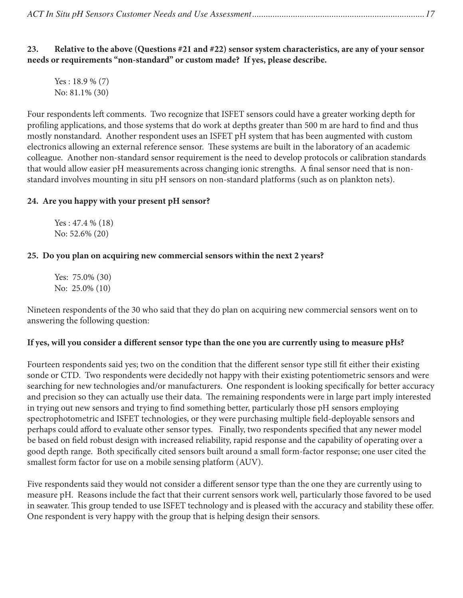|--|--|

**23. Relative to the above (Questions #21 and #22) sensor system characteristics, are any of your sensor needs or requirements "non-standard" or custom made? If yes, please describe.**

Yes : 18.9 % (7) No: 81.1% (30)

Four respondents left comments. Two recognize that ISFET sensors could have a greater working depth for profiling applications, and those systems that do work at depths greater than 500 m are hard to find and thus mostly nonstandard. Another respondent uses an ISFET pH system that has been augmented with custom electronics allowing an external reference sensor. These systems are built in the laboratory of an academic colleague. Another non-standard sensor requirement is the need to develop protocols or calibration standards that would allow easier pH measurements across changing ionic strengths. A final sensor need that is nonstandard involves mounting in situ pH sensors on non-standard platforms (such as on plankton nets).

### **24. Are you happy with your present pH sensor?**

Yes : 47.4 % (18) No: 52.6% (20)

### **25. Do you plan on acquiring new commercial sensors within the next 2 years?**

Yes: 75.0% (30) No: 25.0% (10)

Nineteen respondents of the 30 who said that they do plan on acquiring new commercial sensors went on to answering the following question:

### **If yes, will you consider a different sensor type than the one you are currently using to measure pHs?**

Fourteen respondents said yes; two on the condition that the different sensor type still fit either their existing sonde or CTD. Two respondents were decidedly not happy with their existing potentiometric sensors and were searching for new technologies and/or manufacturers. One respondent is looking specifically for better accuracy and precision so they can actually use their data. The remaining respondents were in large part imply interested in trying out new sensors and trying to find something better, particularly those pH sensors employing spectrophotometric and ISFET technologies, or they were purchasing multiple field-deployable sensors and perhaps could afford to evaluate other sensor types. Finally, two respondents specified that any newer model be based on field robust design with increased reliability, rapid response and the capability of operating over a good depth range. Both specifically cited sensors built around a small form-factor response; one user cited the smallest form factor for use on a mobile sensing platform (AUV).

Five respondents said they would not consider a different sensor type than the one they are currently using to measure pH. Reasons include the fact that their current sensors work well, particularly those favored to be used in seawater. This group tended to use ISFET technology and is pleased with the accuracy and stability these offer. One respondent is very happy with the group that is helping design their sensors.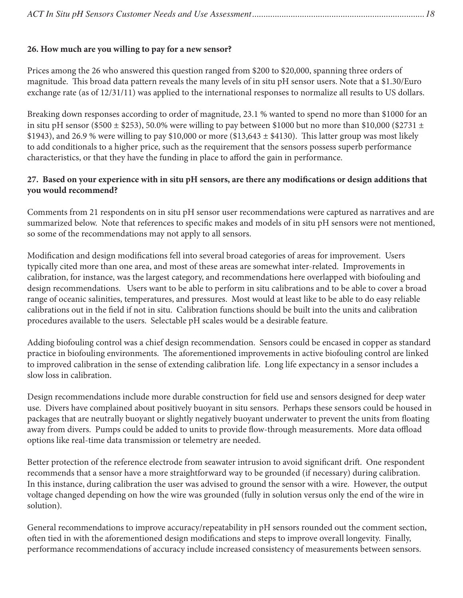## **26. How much are you willing to pay for a new sensor?**

Prices among the 26 who answered this question ranged from \$200 to \$20,000, spanning three orders of magnitude. This broad data pattern reveals the many levels of in situ pH sensor users. Note that a \$1.30/Euro exchange rate (as of 12/31/11) was applied to the international responses to normalize all results to US dollars.

Breaking down responses according to order of magnitude, 23.1 % wanted to spend no more than \$1000 for an in situ pH sensor (\$500  $\pm$  \$253), 50.0% were willing to pay between \$1000 but no more than \$10,000 (\$2731  $\pm$ \$1943), and 26.9 % were willing to pay \$10,000 or more (\$13,643  $\pm$  \$4130). This latter group was most likely to add conditionals to a higher price, such as the requirement that the sensors possess superb performance characteristics, or that they have the funding in place to afford the gain in performance.

## **27. Based on your experience with in situ pH sensors, are there any modifications or design additions that you would recommend?**

Comments from 21 respondents on in situ pH sensor user recommendations were captured as narratives and are summarized below. Note that references to specific makes and models of in situ pH sensors were not mentioned, so some of the recommendations may not apply to all sensors.

Modification and design modifications fell into several broad categories of areas for improvement. Users typically cited more than one area, and most of these areas are somewhat inter-related. Improvements in calibration, for instance, was the largest category, and recommendations here overlapped with biofouling and design recommendations. Users want to be able to perform in situ calibrations and to be able to cover a broad range of oceanic salinities, temperatures, and pressures. Most would at least like to be able to do easy reliable calibrations out in the field if not in situ. Calibration functions should be built into the units and calibration procedures available to the users. Selectable pH scales would be a desirable feature.

Adding biofouling control was a chief design recommendation. Sensors could be encased in copper as standard practice in biofouling environments. The aforementioned improvements in active biofouling control are linked to improved calibration in the sense of extending calibration life. Long life expectancy in a sensor includes a slow loss in calibration.

Design recommendations include more durable construction for field use and sensors designed for deep water use. Divers have complained about positively buoyant in situ sensors. Perhaps these sensors could be housed in packages that are neutrally buoyant or slightly negatively buoyant underwater to prevent the units from floating away from divers. Pumps could be added to units to provide flow-through measurements. More data offload options like real-time data transmission or telemetry are needed.

Better protection of the reference electrode from seawater intrusion to avoid significant drift. One respondent recommends that a sensor have a more straightforward way to be grounded (if necessary) during calibration. In this instance, during calibration the user was advised to ground the sensor with a wire. However, the output voltage changed depending on how the wire was grounded (fully in solution versus only the end of the wire in solution).

General recommendations to improve accuracy/repeatability in pH sensors rounded out the comment section, often tied in with the aforementioned design modifications and steps to improve overall longevity. Finally, performance recommendations of accuracy include increased consistency of measurements between sensors.